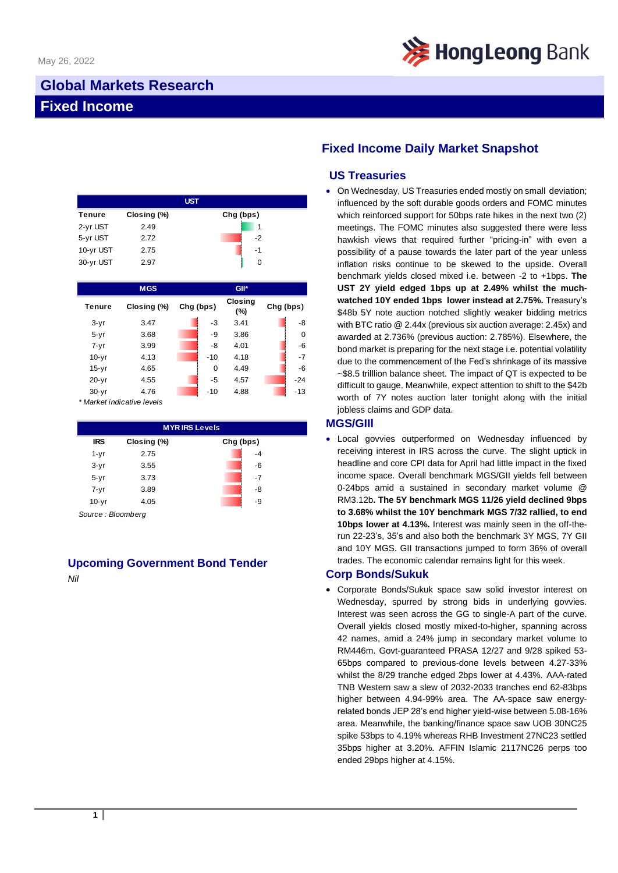

## **Global Markets Research Fixed Income**

|               |             | <b>UST</b> |
|---------------|-------------|------------|
| <b>Tenure</b> | Closing (%) | Chg (bps)  |
| 2-yr UST      | 2.49        |            |
| 5-yr UST      | 2.72        | $-2$       |
| 10-yr UST     | 2.75        | -1         |
| 30-yr UST     | 2.97        | O          |

|               | <b>MGS</b>  |           | $GII^*$               |             |
|---------------|-------------|-----------|-----------------------|-------------|
| <b>Tenure</b> | Closing (%) | Chg (bps) | <b>Closing</b><br>(%) | Chg (bps)   |
| $3-yr$        | 3.47        | -3        | 3.41                  | -8          |
| $5 - yr$      | 3.68        | -9        | 3.86                  | $\mathbf 0$ |
| $7 - yr$      | 3.99        | -8        | 4.01                  | $-6$        |
| $10-yr$       | 4.13        | $-10$     | 4.18                  | $-7$        |
| $15-yr$       | 4.65        | 0         | 4.49                  | $-6$        |
| $20 - yr$     | 4.55        | -5        | 4.57                  | $-24$       |
| $30 - yr$     | 4.76        | $-10$     | 4.88                  | $-13$       |

*\* Market indicative levels*

| <b>MYRIRS Levels</b> |             |           |  |  |  |
|----------------------|-------------|-----------|--|--|--|
| <b>IRS</b>           | Closing (%) | Chg (bps) |  |  |  |
| $1 - yr$             | 2.75        | $-4$      |  |  |  |
| $3-yr$               | 3.55        | -6        |  |  |  |
| $5 - yr$             | 3.73        | $-7$      |  |  |  |
| $7 - yr$             | 3.89        | -8        |  |  |  |
| $10-yr$              | 4.05        | -9        |  |  |  |

*Source : Bloomberg*

# **Upcoming Government Bond Tender**

*Nil*

## **Fixed Income Daily Market Snapshot**

### **US Treasuries**

• On Wednesday, US Treasuries ended mostly on small deviation; influenced by the soft durable goods orders and FOMC minutes which reinforced support for 50bps rate hikes in the next two (2) meetings. The FOMC minutes also suggested there were less hawkish views that required further "pricing-in" with even a possibility of a pause towards the later part of the year unless inflation risks continue to be skewed to the upside. Overall benchmark yields closed mixed i.e. between -2 to +1bps. **The UST 2Y yield edged 1bps up at 2.49% whilst the muchwatched 10Y ended 1bps lower instead at 2.75%.** Treasury's \$48b 5Y note auction notched slightly weaker bidding metrics with BTC ratio @ 2.44x (previous six auction average: 2.45x) and awarded at 2.736% (previous auction: 2.785%). Elsewhere, the bond market is preparing for the next stage i.e. potential volatility due to the commencement of the Fed's shrinkage of its massive ~\$8.5 trilllion balance sheet. The impact of QT is expected to be difficult to gauge. Meanwhile, expect attention to shift to the \$42b worth of 7Y notes auction later tonight along with the initial jobless claims and GDP data.

#### **MGS/GIIl**

Local govvies outperformed on Wednesday influenced by receiving interest in IRS across the curve. The slight uptick in headline and core CPI data for April had little impact in the fixed income space. Overall benchmark MGS/GII yields fell between 0-24bps amid a sustained in secondary market volume @ RM3.12b**. The 5Y benchmark MGS 11/26 yield declined 9bps to 3.68% whilst the 10Y benchmark MGS 7/32 rallied, to end 10bps lower at 4.13%.** Interest was mainly seen in the off-therun 22-23's, 35's and also both the benchmark 3Y MGS, 7Y GII and 10Y MGS. GII transactions jumped to form 36% of overall trades. The economic calendar remains light for this week.

#### **Corp Bonds/Sukuk**

• Corporate Bonds/Sukuk space saw solid investor interest on Wednesday, spurred by strong bids in underlying govvies. Interest was seen across the GG to single-A part of the curve. Overall yields closed mostly mixed-to-higher, spanning across 42 names, amid a 24% jump in secondary market volume to RM446m. Govt-guaranteed PRASA 12/27 and 9/28 spiked 53- 65bps compared to previous-done levels between 4.27-33% whilst the 8/29 tranche edged 2bps lower at 4.43%. AAA-rated TNB Western saw a slew of 2032-2033 tranches end 62-83bps higher between 4.94-99% area. The AA-space saw energyrelated bonds JEP 28's end higher yield-wise between 5.08-16% area. Meanwhile, the banking/finance space saw UOB 30NC25 spike 53bps to 4.19% whereas RHB Investment 27NC23 settled 35bps higher at 3.20%. AFFIN Islamic 2117NC26 perps too ended 29bps higher at 4.15%.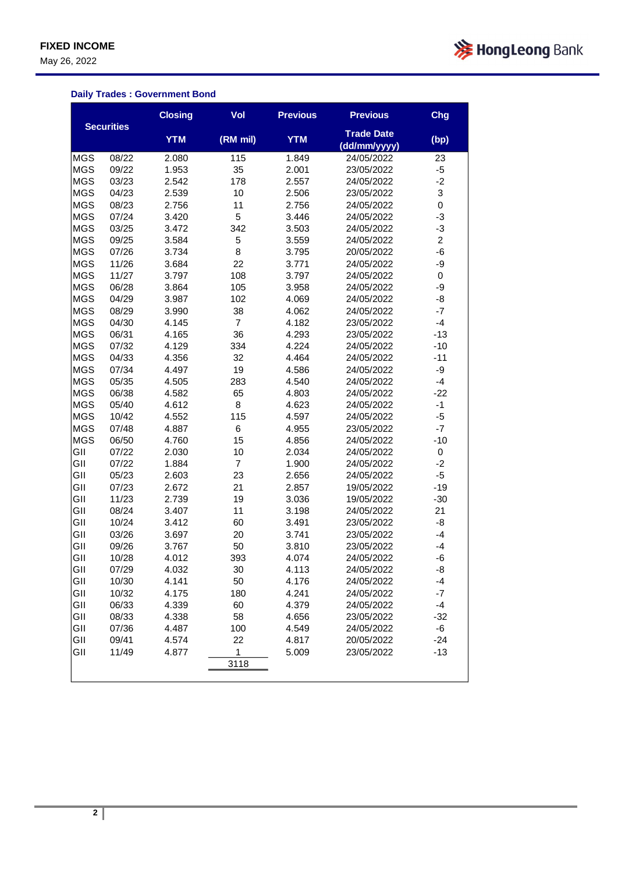May 26, 2022



### **Daily Trades : Government Bond**

|            |                   | <b>Closing</b> | Vol            | <b>Previous</b> | <b>Previous</b>                   | Chg                     |
|------------|-------------------|----------------|----------------|-----------------|-----------------------------------|-------------------------|
|            | <b>Securities</b> | <b>YTM</b>     | (RM mil)       | <b>YTM</b>      | <b>Trade Date</b><br>(dd/mm/yyyy) | (bp)                    |
| <b>MGS</b> | 08/22             | 2.080          | 115            | 1.849           | 24/05/2022                        | 23                      |
| <b>MGS</b> | 09/22             | 1.953          | 35             | 2.001           | 23/05/2022                        | -5                      |
| <b>MGS</b> | 03/23             | 2.542          | 178            | 2.557           | 24/05/2022                        | $-2$                    |
| <b>MGS</b> | 04/23             | 2.539          | 10             | 2.506           | 23/05/2022                        | 3                       |
| <b>MGS</b> | 08/23             | 2.756          | 11             | 2.756           | 24/05/2022                        | 0                       |
| <b>MGS</b> | 07/24             | 3.420          | 5              | 3.446           | 24/05/2022                        | -3                      |
| MGS        | 03/25             | 3.472          | 342            | 3.503           | 24/05/2022                        | -3                      |
| <b>MGS</b> | 09/25             | 3.584          | 5              | 3.559           | 24/05/2022                        | $\overline{\mathbf{c}}$ |
| <b>MGS</b> | 07/26             | 3.734          | 8              | 3.795           | 20/05/2022                        | -6                      |
| <b>MGS</b> | 11/26             | 3.684          | 22             | 3.771           | 24/05/2022                        | -9                      |
| <b>MGS</b> | 11/27             | 3.797          | 108            | 3.797           | 24/05/2022                        | 0                       |
| <b>MGS</b> | 06/28             | 3.864          | 105            | 3.958           | 24/05/2022                        | -9                      |
| <b>MGS</b> | 04/29             | 3.987          | 102            | 4.069           | 24/05/2022                        | -8                      |
| <b>MGS</b> | 08/29             | 3.990          | 38             | 4.062           | 24/05/2022                        | $-7$                    |
| <b>MGS</b> | 04/30             | 4.145          | $\overline{7}$ | 4.182           | 23/05/2022                        | $-4$                    |
| <b>MGS</b> | 06/31             | 4.165          | 36             | 4.293           | 23/05/2022                        | $-13$                   |
| MGS        | 07/32             | 4.129          | 334            | 4.224           | 24/05/2022                        | $-10$                   |
| <b>MGS</b> | 04/33             | 4.356          | 32             | 4.464           | 24/05/2022                        | $-11$                   |
| <b>MGS</b> | 07/34             | 4.497          | 19             | 4.586           | 24/05/2022                        | -9                      |
| <b>MGS</b> | 05/35             | 4.505          | 283            | 4.540           | 24/05/2022                        | $-4$                    |
| <b>MGS</b> | 06/38             | 4.582          | 65             | 4.803           | 24/05/2022                        | $-22$                   |
| <b>MGS</b> | 05/40             | 4.612          | 8              | 4.623           | 24/05/2022                        | $-1$                    |
| <b>MGS</b> | 10/42             | 4.552          | 115            | 4.597           | 24/05/2022                        | -5                      |
| <b>MGS</b> | 07/48             | 4.887          | 6              | 4.955           | 23/05/2022                        | $-7$                    |
| <b>MGS</b> | 06/50             | 4.760          | 15             | 4.856           | 24/05/2022                        | $-10$                   |
| GII        | 07/22             | 2.030          | 10             | 2.034           | 24/05/2022                        | 0                       |
| GII        | 07/22             | 1.884          | $\overline{7}$ | 1.900           | 24/05/2022                        | -2                      |
| GII        | 05/23             | 2.603          | 23             | 2.656           | 24/05/2022                        | -5                      |
| GII        | 07/23             | 2.672          | 21             | 2.857           | 19/05/2022                        | $-19$                   |
| GII        | 11/23             | 2.739          | 19             | 3.036           | 19/05/2022                        | $-30$                   |
| GII        | 08/24             | 3.407          | 11             | 3.198           | 24/05/2022                        | 21                      |
| GII        | 10/24             | 3.412          | 60             | 3.491           | 23/05/2022                        | -8                      |
| GII        | 03/26             | 3.697          | 20             | 3.741           | 23/05/2022                        | $-4$                    |
| GII        | 09/26             | 3.767          | 50             | 3.810           | 23/05/2022                        | -4                      |
| GII        | 10/28             | 4.012          | 393            | 4.074           | 24/05/2022                        | -6                      |
| GII        | 07/29             | 4.032          | 30             | 4.113           | 24/05/2022                        | -8                      |
| GII        | 10/30             | 4.141          | 50             | 4.176           | 24/05/2022                        | -4                      |
| GII        | 10/32             | 4.175          | 180            | 4.241           | 24/05/2022                        | $-7$                    |
| GII        | 06/33             | 4.339          | 60             | 4.379           | 24/05/2022                        | $-4$                    |
| GII        | 08/33             | 4.338          | 58             | 4.656           | 23/05/2022                        | $-32$                   |
| GII        | 07/36             | 4.487          | 100            | 4.549           | 24/05/2022                        | -6                      |
| GII        | 09/41             | 4.574          | 22             | 4.817           | 20/05/2022                        | $-24$                   |
| GII        | 11/49             | 4.877          | 1              | 5.009           | 23/05/2022                        | $-13$                   |
|            |                   |                | 3118           |                 |                                   |                         |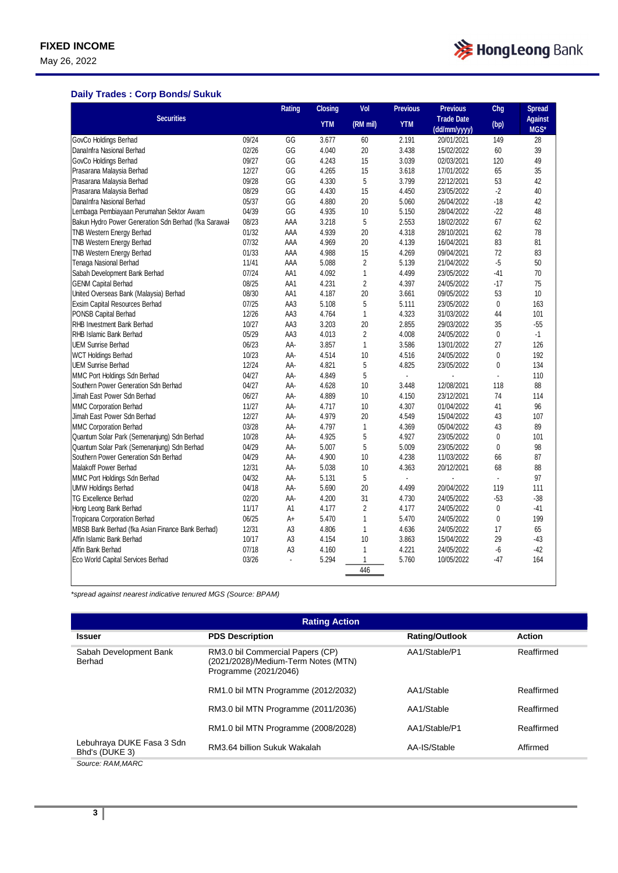May 26, 2022



### **Daily Trades : Corp Bonds/ Sukuk**

|                                                      |       | Rating         | <b>Closing</b> | Vol            | <b>Previous</b> | <b>Previous</b>   | Chg          | <b>Spread</b>  |
|------------------------------------------------------|-------|----------------|----------------|----------------|-----------------|-------------------|--------------|----------------|
| <b>Securities</b>                                    |       |                | <b>YTM</b>     | (RM mil)       | <b>YTM</b>      | <b>Trade Date</b> | (bp)         | <b>Against</b> |
|                                                      |       |                |                |                |                 | (dd/mm/yyyy)      |              | MGS*           |
| GovCo Holdings Berhad                                | 09/24 | GG             | 3.677          | 60             | 2.191           | 20/01/2021        | 149          | 28             |
| DanaInfra Nasional Berhad                            | 02/26 | GG             | 4.040          | 20             | 3.438           | 15/02/2022        | 60           | 39             |
| GovCo Holdings Berhad                                | 09/27 | GG             | 4.243          | 15             | 3.039           | 02/03/2021        | 120          | 49             |
| Prasarana Malaysia Berhad                            | 12/27 | GG             | 4.265          | 15             | 3.618           | 17/01/2022        | 65           | 35             |
| Prasarana Malaysia Berhad                            | 09/28 | GG             | 4.330          | 5              | 3.799           | 22/12/2021        | 53           | 42             |
| Prasarana Malaysia Berhad                            | 08/29 | GG             | 4.430          | 15             | 4.450           | 23/05/2022        | $-2$         | 40             |
| DanaInfra Nasional Berhad                            | 05/37 | GG             | 4.880          | 20             | 5.060           | 26/04/2022        | $-18$        | 42             |
| Lembaga Pembiayaan Perumahan Sektor Awam             | 04/39 | GG             | 4.935          | 10             | 5.150           | 28/04/2022        | $-22$        | 48             |
| Bakun Hydro Power Generation Sdn Berhad (fka Sarawal | 08/23 | AAA            | 3.218          | 5              | 2.553           | 18/02/2022        | 67           | 62             |
| <b>TNB Western Energy Berhad</b>                     | 01/32 | AAA            | 4.939          | 20             | 4.318           | 28/10/2021        | 62           | 78             |
| TNB Western Energy Berhad                            | 07/32 | AAA            | 4.969          | 20             | 4.139           | 16/04/2021        | 83           | 81             |
| TNB Western Energy Berhad                            | 01/33 | AAA            | 4.988          | 15             | 4.269           | 09/04/2021        | 72           | 83             |
| Tenaga Nasional Berhad                               | 11/41 | AAA            | 5.088          | $\overline{2}$ | 5.139           | 21/04/2022        | $-5$         | 50             |
| Sabah Development Bank Berhad                        | 07/24 | AA1            | 4.092          | $\mathbf{1}$   | 4.499           | 23/05/2022        | $-41$        | 70             |
| <b>GENM Capital Berhad</b>                           | 08/25 | AA1            | 4.231          | $\overline{2}$ | 4.397           | 24/05/2022        | $-17$        | 75             |
| United Overseas Bank (Malaysia) Berhad               | 08/30 | AA1            | 4.187          | 20             | 3.661           | 09/05/2022        | 53           | 10             |
| Exsim Capital Resources Berhad                       | 07/25 | AA3            | 5.108          | 5              | 5.111           | 23/05/2022        | $\mathbf{0}$ | 163            |
| PONSB Capital Berhad                                 | 12/26 | AA3            | 4.764          | 1              | 4.323           | 31/03/2022        | 44           | 101            |
| <b>RHB Investment Bank Berhad</b>                    | 10/27 | AA3            | 3.203          | 20             | 2.855           | 29/03/2022        | 35           | $-55$          |
| RHB Islamic Bank Berhad                              | 05/29 | AA3            | 4.013          | $\overline{2}$ | 4.008           | 24/05/2022        | $\mathbf{0}$ | $-1$           |
| <b>UEM Sunrise Berhad</b>                            | 06/23 | AA-            | 3.857          | $\mathbf{1}$   | 3.586           | 13/01/2022        | 27           | 126            |
| <b>WCT Holdings Berhad</b>                           | 10/23 | AA-            | 4.514          | 10             | 4.516           | 24/05/2022        | $\mathbf{0}$ | 192            |
| <b>UEM Sunrise Berhad</b>                            | 12/24 | AA-            | 4.821          | 5              | 4.825           | 23/05/2022        | $\mathbf{0}$ | 134            |
| MMC Port Holdings Sdn Berhad                         | 04/27 | AA-            | 4.849          | 5              | ÷,              |                   |              | 110            |
| Southern Power Generation Sdn Berhad                 | 04/27 | AA-            | 4.628          | 10             | 3.448           | 12/08/2021        | 118          | 88             |
| Jimah East Power Sdn Berhad                          | 06/27 | AA-            | 4.889          | 10             | 4.150           | 23/12/2021        | 74           | 114            |
| <b>MMC Corporation Berhad</b>                        | 11/27 | AA-            | 4.717          | 10             | 4.307           | 01/04/2022        | 41           | 96             |
| Jimah East Power Sdn Berhad                          | 12/27 | AA-            | 4.979          | 20             | 4.549           | 15/04/2022        | 43           | 107            |
| MMC Corporation Berhad                               | 03/28 | AA-            | 4.797          | $\mathbf{1}$   | 4.369           | 05/04/2022        | 43           | 89             |
| Quantum Solar Park (Semenanjung) Sdn Berhad          | 10/28 | AA-            | 4.925          | 5              | 4.927           | 23/05/2022        | $\pmb{0}$    | 101            |
| Quantum Solar Park (Semenanjung) Sdn Berhad          | 04/29 | AA-            | 5.007          | 5              | 5.009           | 23/05/2022        | $\mathbf{0}$ | 98             |
| Southern Power Generation Sdn Berhad                 | 04/29 | AA-            | 4.900          | 10             | 4.238           | 11/03/2022        | 66           | 87             |
| <b>Malakoff Power Berhad</b>                         | 12/31 | AA-            | 5.038          | 10             | 4.363           | 20/12/2021        | 68           | 88             |
| MMC Port Holdings Sdn Berhad                         | 04/32 | AA-            | 5.131          | 5              | ä,              |                   | ÷,           | 97             |
| <b>UMW Holdings Berhad</b>                           | 04/18 | AA-            | 5.690          | 20             | 4.499           | 20/04/2022        | 119          | 111            |
| <b>TG Excellence Berhad</b>                          | 02/20 | AA-            | 4.200          | 31             | 4.730           | 24/05/2022        | $-53$        | $-38$          |
| Hong Leong Bank Berhad                               | 11/17 | A1             | 4.177          | $\overline{2}$ | 4.177           | 24/05/2022        | 0            | -41            |
| Tropicana Corporation Berhad                         | 06/25 | A+             | 5.470          | $\mathbf{1}$   | 5.470           | 24/05/2022        | $\pmb{0}$    | 199            |
| MBSB Bank Berhad (fka Asian Finance Bank Berhad)     | 12/31 | A3             | 4.806          | $\mathbf{1}$   | 4.636           | 24/05/2022        | 17           | 65             |
| Affin Islamic Bank Berhad                            | 10/17 | A <sub>3</sub> | 4.154          | 10             | 3.863           | 15/04/2022        | 29           | $-43$          |
| Affin Bank Berhad                                    | 07/18 | A <sub>3</sub> | 4.160          | 1              | 4.221           | 24/05/2022        | -6           | $-42$          |
| Eco World Capital Services Berhad                    | 03/26 |                | 5.294          | 1              | 5.760           | 10/05/2022        | $-47$        | 164            |
|                                                      |       |                |                | 446            |                 |                   |              |                |
|                                                      |       |                |                |                |                 |                   |              |                |

*\*spread against nearest indicative tenured MGS (Source: BPAM)*

| <b>Rating Action</b>                        |                                                                                                  |                       |               |  |  |  |
|---------------------------------------------|--------------------------------------------------------------------------------------------------|-----------------------|---------------|--|--|--|
| <b>Issuer</b>                               | <b>PDS Description</b>                                                                           | <b>Rating/Outlook</b> | <b>Action</b> |  |  |  |
| Sabah Development Bank<br>Berhad            | RM3.0 bil Commercial Papers (CP)<br>(2021/2028)/Medium-Term Notes (MTN)<br>Programme (2021/2046) | AA1/Stable/P1         | Reaffirmed    |  |  |  |
|                                             | RM1.0 bil MTN Programme (2012/2032)                                                              | AA1/Stable            | Reaffirmed    |  |  |  |
|                                             | RM3.0 bil MTN Programme (2011/2036)                                                              | AA1/Stable            | Reaffirmed    |  |  |  |
|                                             | RM1.0 bil MTN Programme (2008/2028)                                                              | AA1/Stable/P1         | Reaffirmed    |  |  |  |
| Lebuhraya DUKE Fasa 3 Sdn<br>Bhd's (DUKE 3) | RM3.64 billion Sukuk Wakalah                                                                     | AA-IS/Stable          | Affirmed      |  |  |  |
| Source: RAM.MARC                            |                                                                                                  |                       |               |  |  |  |